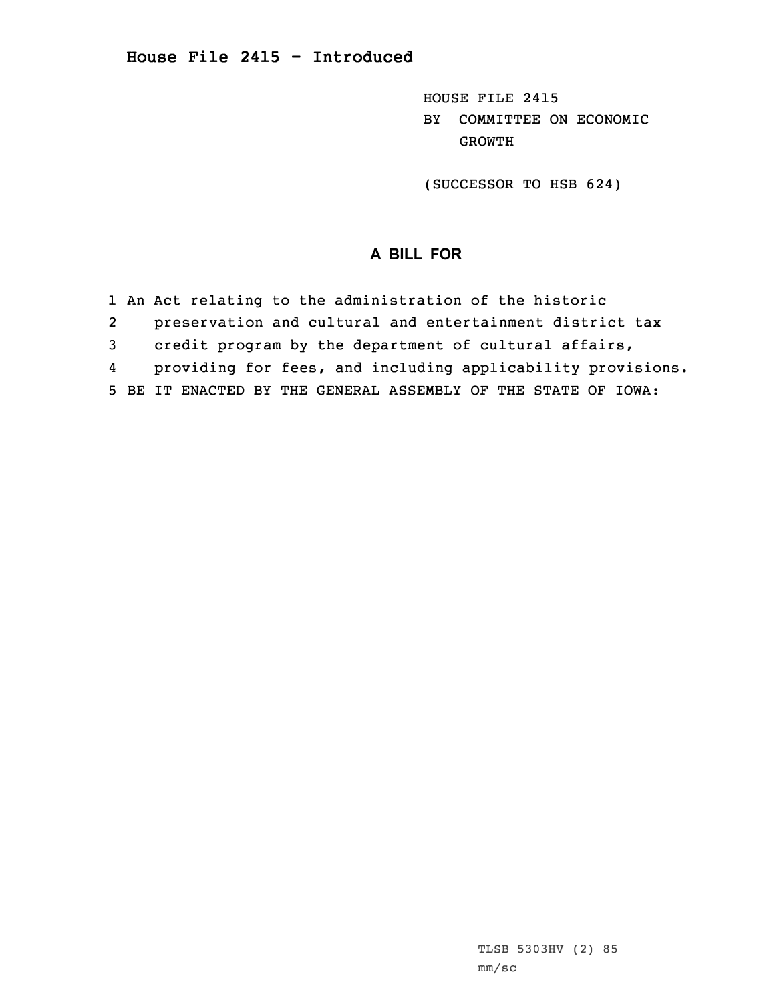HOUSE FILE 2415 BY COMMITTEE ON ECONOMIC GROWTH

(SUCCESSOR TO HSB 624)

## **A BILL FOR**

1 An Act relating to the administration of the historic

2preservation and cultural and entertainment district tax

3 credit program by the department of cultural affairs,

4providing for fees, and including applicability provisions.

5 BE IT ENACTED BY THE GENERAL ASSEMBLY OF THE STATE OF IOWA: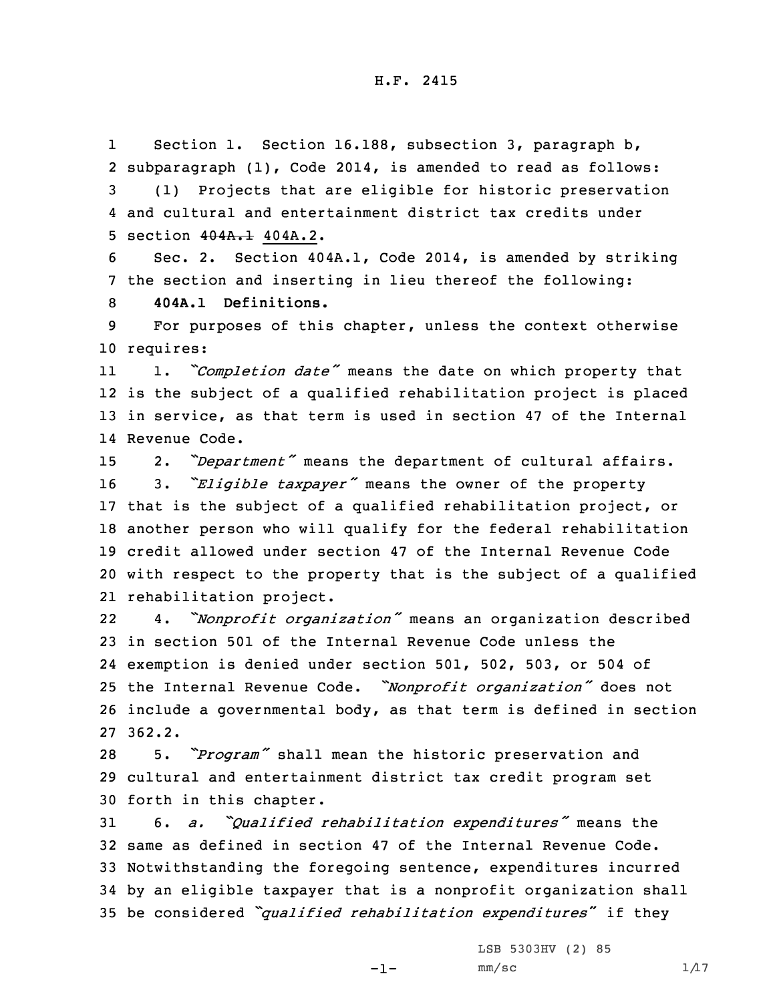1Section 1. Section 16.188, subsection 3, paragraph b, subparagraph (1), Code 2014, is amended to read as follows: (1) Projects that are eligible for historic preservation and cultural and entertainment district tax credits under section 404A.1 404A.2.

6 Sec. 2. Section 404A.1, Code 2014, is amended by striking 7 the section and inserting in lieu thereof the following:

8 **404A.1 Definitions.**

9 For purposes of this chapter, unless the context otherwise 10 requires:

11 1. *"Completion date"* means the date on which property that 12 is the subject of <sup>a</sup> qualified rehabilitation project is placed 13 in service, as that term is used in section 47 of the Internal 14 Revenue Code.

 2. *"Department"* means the department of cultural affairs. 3. *"Eligible taxpayer"* means the owner of the property that is the subject of <sup>a</sup> qualified rehabilitation project, or another person who will qualify for the federal rehabilitation credit allowed under section 47 of the Internal Revenue Code with respect to the property that is the subject of <sup>a</sup> qualified rehabilitation project.

22 4. *"Nonprofit organization"* means an organization described 23 in section 501 of the Internal Revenue Code unless the 24 exemption is denied under section 501, 502, 503, or 504 of <sup>25</sup> the Internal Revenue Code. *"Nonprofit organization"* does not 26 include <sup>a</sup> governmental body, as that term is defined in section 27 362.2.

<sup>28</sup> 5. *"Program"* shall mean the historic preservation and 29 cultural and entertainment district tax credit program set 30 forth in this chapter.

 6. *a. "Qualified rehabilitation expenditures"* means the same as defined in section 47 of the Internal Revenue Code. Notwithstanding the foregoing sentence, expenditures incurred by an eligible taxpayer that is <sup>a</sup> nonprofit organization shall be considered *"qualified rehabilitation expenditures*" if they

-1-

LSB 5303HV (2) 85  $mm/sc$  1/17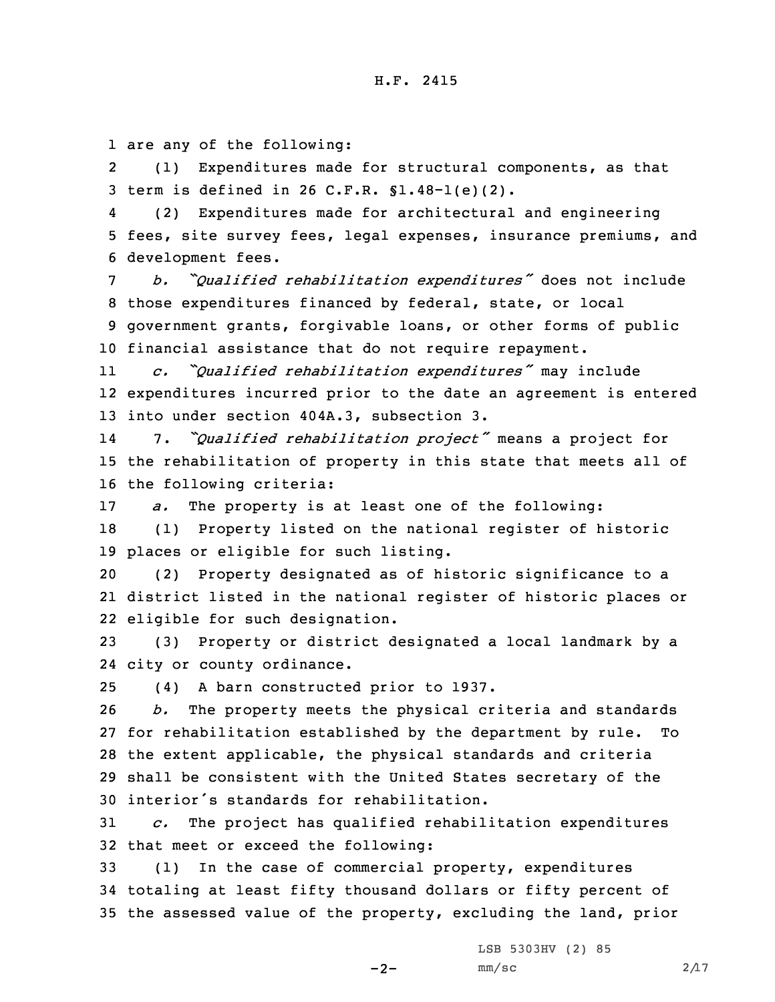1 are any of the following:

2 (1) Expenditures made for structural components, as that 3 term is defined in 26 C.F.R. §1.48-1(e)(2).

4 (2) Expenditures made for architectural and engineering 5 fees, site survey fees, legal expenses, insurance premiums, and 6 development fees.

 *b. "Qualified rehabilitation expenditures"* does not include those expenditures financed by federal, state, or local government grants, forgivable loans, or other forms of public financial assistance that do not require repayment.

11 *c. "Qualified rehabilitation expenditures"* may include 12 expenditures incurred prior to the date an agreement is entered 13 into under section 404A.3, subsection 3.

14 7. *"Qualified rehabilitation project"* means <sup>a</sup> project for 15 the rehabilitation of property in this state that meets all of 16 the following criteria:

17 *a.* The property is at least one of the following:

18 (1) Property listed on the national register of historic 19 places or eligible for such listing.

20 (2) Property designated as of historic significance to <sup>a</sup> 21 district listed in the national register of historic places or 22 eligible for such designation.

23 (3) Property or district designated <sup>a</sup> local landmark by <sup>a</sup> 24 city or county ordinance.

25 (4) <sup>A</sup> barn constructed prior to 1937.

 *b.* The property meets the physical criteria and standards for rehabilitation established by the department by rule. To the extent applicable, the physical standards and criteria shall be consistent with the United States secretary of the interior's standards for rehabilitation.

31 *c.* The project has qualified rehabilitation expenditures 32 that meet or exceed the following:

33 (1) In the case of commercial property, expenditures 34 totaling at least fifty thousand dollars or fifty percent of 35 the assessed value of the property, excluding the land, prior

LSB 5303HV (2) 85

 $-2-$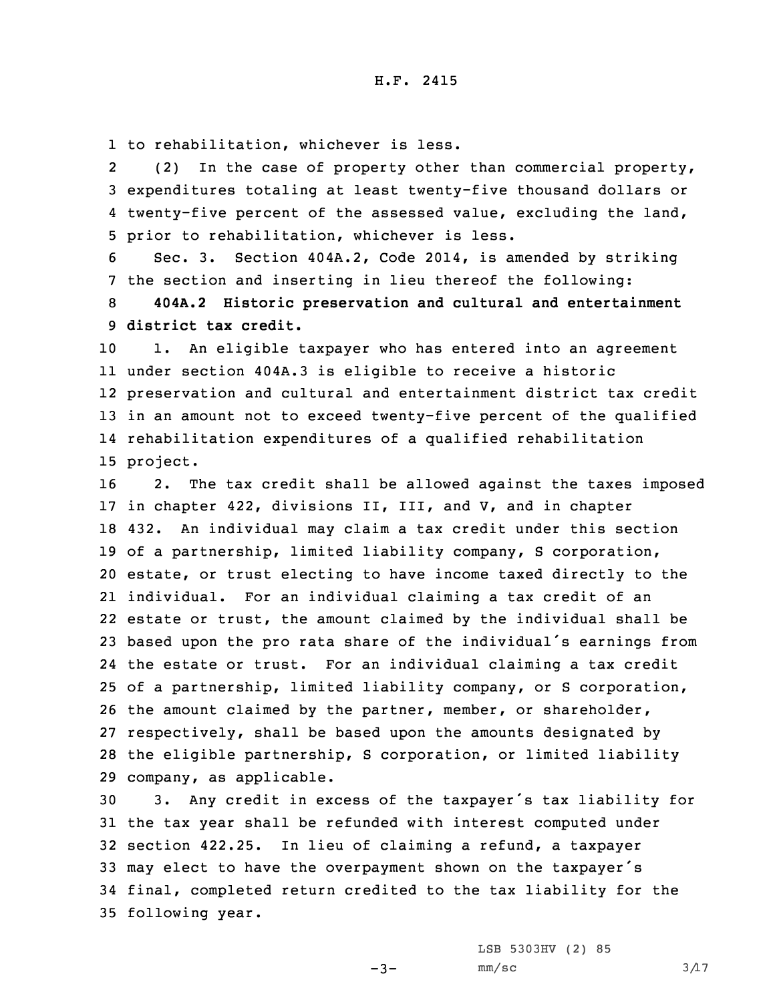1 to rehabilitation, whichever is less.

2 (2) In the case of property other than commercial property, 3 expenditures totaling at least twenty-five thousand dollars or 4 twenty-five percent of the assessed value, excluding the land, 5 prior to rehabilitation, whichever is less.

6 Sec. 3. Section 404A.2, Code 2014, is amended by striking 7 the section and inserting in lieu thereof the following:

8 **404A.2 Historic preservation and cultural and entertainment** 9 **district tax credit.**

 1. An eligible taxpayer who has entered into an agreement under section 404A.3 is eligible to receive <sup>a</sup> historic preservation and cultural and entertainment district tax credit in an amount not to exceed twenty-five percent of the qualified rehabilitation expenditures of <sup>a</sup> qualified rehabilitation 15 project.

 2. The tax credit shall be allowed against the taxes imposed in chapter 422, divisions II, III, and V, and in chapter 432. An individual may claim <sup>a</sup> tax credit under this section of <sup>a</sup> partnership, limited liability company, S corporation, estate, or trust electing to have income taxed directly to the individual. For an individual claiming <sup>a</sup> tax credit of an estate or trust, the amount claimed by the individual shall be based upon the pro rata share of the individual's earnings from the estate or trust. For an individual claiming <sup>a</sup> tax credit of <sup>a</sup> partnership, limited liability company, or S corporation, the amount claimed by the partner, member, or shareholder, respectively, shall be based upon the amounts designated by the eligible partnership, S corporation, or limited liability company, as applicable.

 3. Any credit in excess of the taxpayer's tax liability for the tax year shall be refunded with interest computed under section 422.25. In lieu of claiming <sup>a</sup> refund, <sup>a</sup> taxpayer may elect to have the overpayment shown on the taxpayer's final, completed return credited to the tax liability for the following year.

 $-3-$ 

LSB 5303HV (2) 85  $mm/sc$  3/17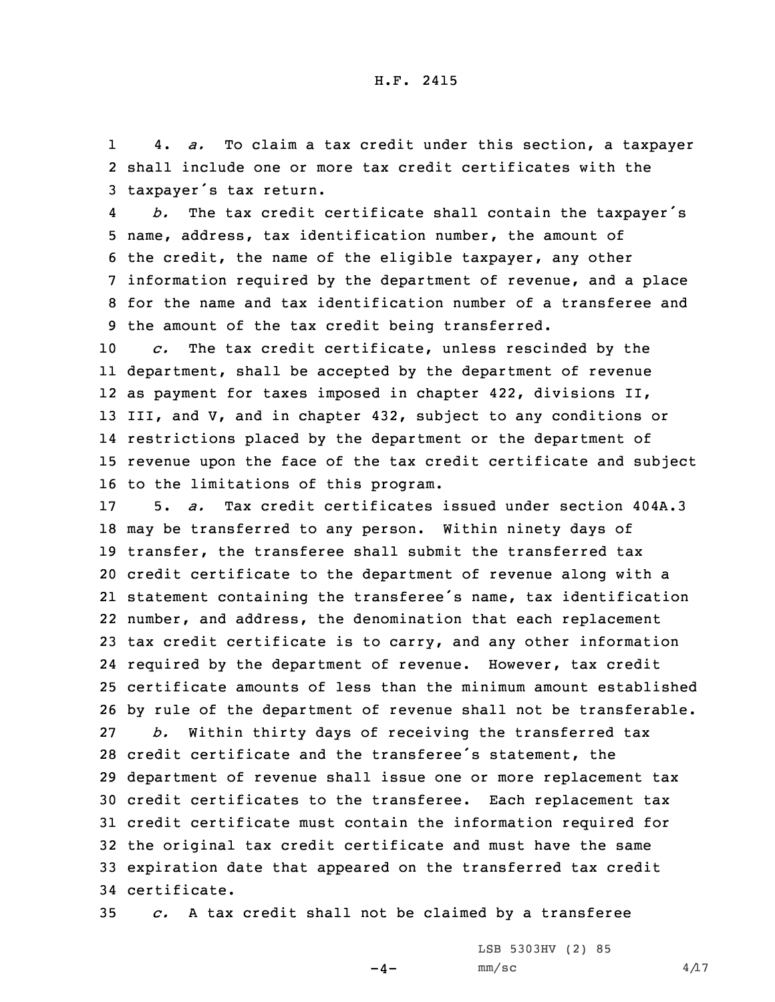1 4. *a.* To claim <sup>a</sup> tax credit under this section, <sup>a</sup> taxpayer 2 shall include one or more tax credit certificates with the <sup>3</sup> taxpayer's tax return.

4 *b.* The tax credit certificate shall contain the taxpayer's name, address, tax identification number, the amount of the credit, the name of the eligible taxpayer, any other information required by the department of revenue, and <sup>a</sup> place for the name and tax identification number of <sup>a</sup> transferee and the amount of the tax credit being transferred.

 *c.* The tax credit certificate, unless rescinded by the department, shall be accepted by the department of revenue as payment for taxes imposed in chapter 422, divisions II, III, and V, and in chapter 432, subject to any conditions or restrictions placed by the department or the department of revenue upon the face of the tax credit certificate and subject to the limitations of this program.

 5. *a.* Tax credit certificates issued under section 404A.3 may be transferred to any person. Within ninety days of transfer, the transferee shall submit the transferred tax credit certificate to the department of revenue along with <sup>a</sup> statement containing the transferee's name, tax identification number, and address, the denomination that each replacement tax credit certificate is to carry, and any other information required by the department of revenue. However, tax credit certificate amounts of less than the minimum amount established by rule of the department of revenue shall not be transferable. *b.* Within thirty days of receiving the transferred tax credit certificate and the transferee's statement, the department of revenue shall issue one or more replacement tax credit certificates to the transferee. Each replacement tax credit certificate must contain the information required for the original tax credit certificate and must have the same expiration date that appeared on the transferred tax credit certificate.

35 *c.* <sup>A</sup> tax credit shall not be claimed by <sup>a</sup> transferee

 $-4-$ 

LSB 5303HV (2) 85  $mm/sc$  4/17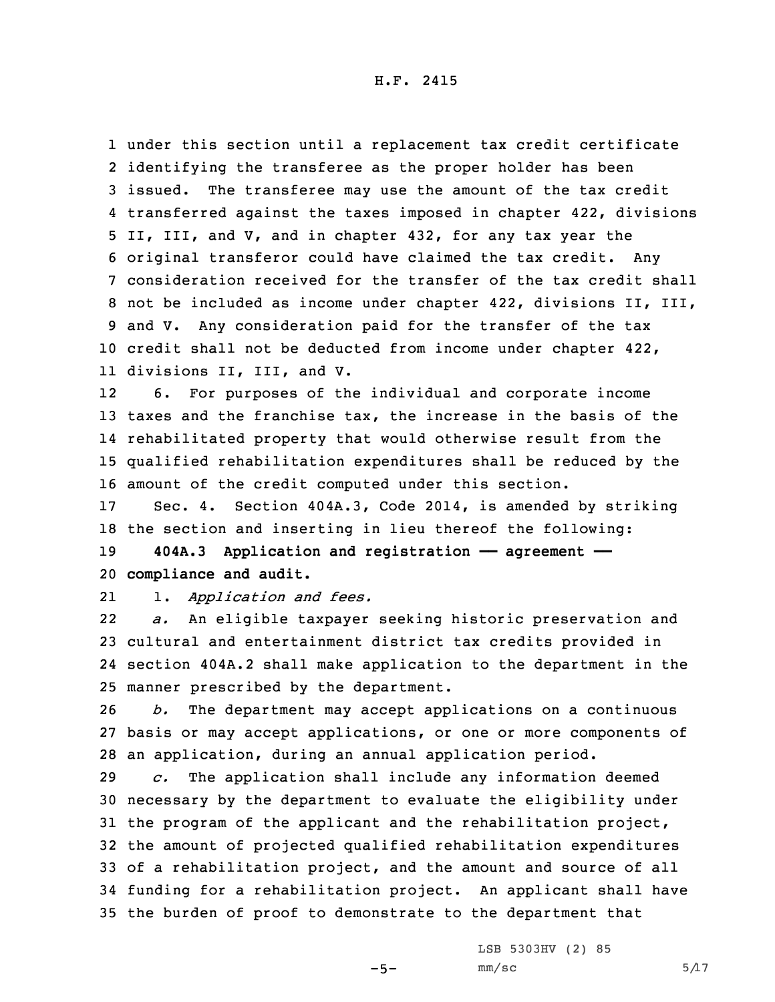H.F. 2415

 under this section until <sup>a</sup> replacement tax credit certificate identifying the transferee as the proper holder has been issued. The transferee may use the amount of the tax credit transferred against the taxes imposed in chapter 422, divisions II, III, and V, and in chapter 432, for any tax year the original transferor could have claimed the tax credit. Any consideration received for the transfer of the tax credit shall not be included as income under chapter 422, divisions II, III, and V. Any consideration paid for the transfer of the tax credit shall not be deducted from income under chapter 422, divisions II, III, and V.

12 6. For purposes of the individual and corporate income taxes and the franchise tax, the increase in the basis of the rehabilitated property that would otherwise result from the qualified rehabilitation expenditures shall be reduced by the amount of the credit computed under this section.

17 Sec. 4. Section 404A.3, Code 2014, is amended by striking 18 the section and inserting in lieu thereof the following:

19 **404A.3 Application and registration —— agreement ——** 20 **compliance and audit.**

211. *Application and fees.*

22 *a.* An eligible taxpayer seeking historic preservation and 23 cultural and entertainment district tax credits provided in 24 section 404A.2 shall make application to the department in the 25 manner prescribed by the department.

26 *b.* The department may accept applications on <sup>a</sup> continuous 27 basis or may accept applications, or one or more components of 28 an application, during an annual application period.

 *c.* The application shall include any information deemed necessary by the department to evaluate the eligibility under the program of the applicant and the rehabilitation project, the amount of projected qualified rehabilitation expenditures of <sup>a</sup> rehabilitation project, and the amount and source of all funding for <sup>a</sup> rehabilitation project. An applicant shall have the burden of proof to demonstrate to the department that

LSB 5303HV (2) 85

 $-5-$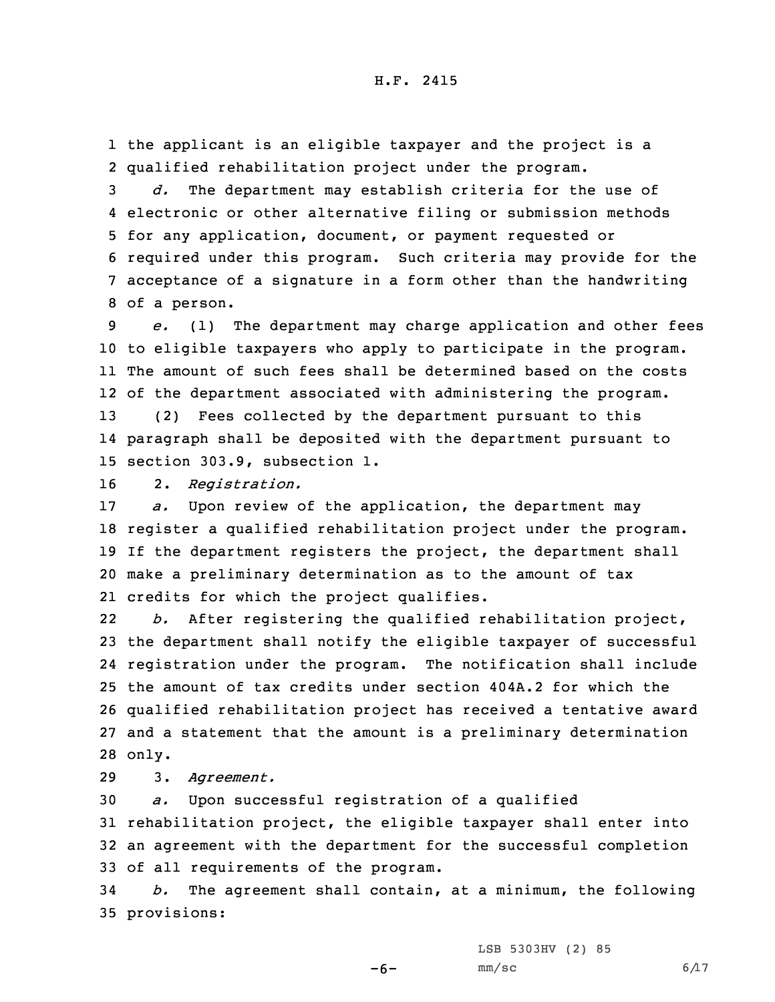## H.F. 2415

1 the applicant is an eligible taxpayer and the project is <sup>a</sup> 2 qualified rehabilitation project under the program.

 *d.* The department may establish criteria for the use of electronic or other alternative filing or submission methods for any application, document, or payment requested or required under this program. Such criteria may provide for the acceptance of <sup>a</sup> signature in <sup>a</sup> form other than the handwriting of <sup>a</sup> person.

 *e.* (1) The department may charge application and other fees to eligible taxpayers who apply to participate in the program. The amount of such fees shall be determined based on the costs of the department associated with administering the program. (2) Fees collected by the department pursuant to this

14 paragraph shall be deposited with the department pursuant to 15 section 303.9, subsection 1.

16 2. *Registration.*

 *a.* Upon review of the application, the department may register <sup>a</sup> qualified rehabilitation project under the program. If the department registers the project, the department shall make <sup>a</sup> preliminary determination as to the amount of tax credits for which the project qualifies.

22 *b.* After registering the qualified rehabilitation project, the department shall notify the eligible taxpayer of successful registration under the program. The notification shall include the amount of tax credits under section 404A.2 for which the qualified rehabilitation project has received <sup>a</sup> tentative award and <sup>a</sup> statement that the amount is <sup>a</sup> preliminary determination 28 only.

29 3. *Agreement.*

 *a.* Upon successful registration of <sup>a</sup> qualified rehabilitation project, the eligible taxpayer shall enter into an agreement with the department for the successful completion of all requirements of the program.

34 *b.* The agreement shall contain, at <sup>a</sup> minimum, the following 35 provisions:

LSB 5303HV (2) 85

 $-6-$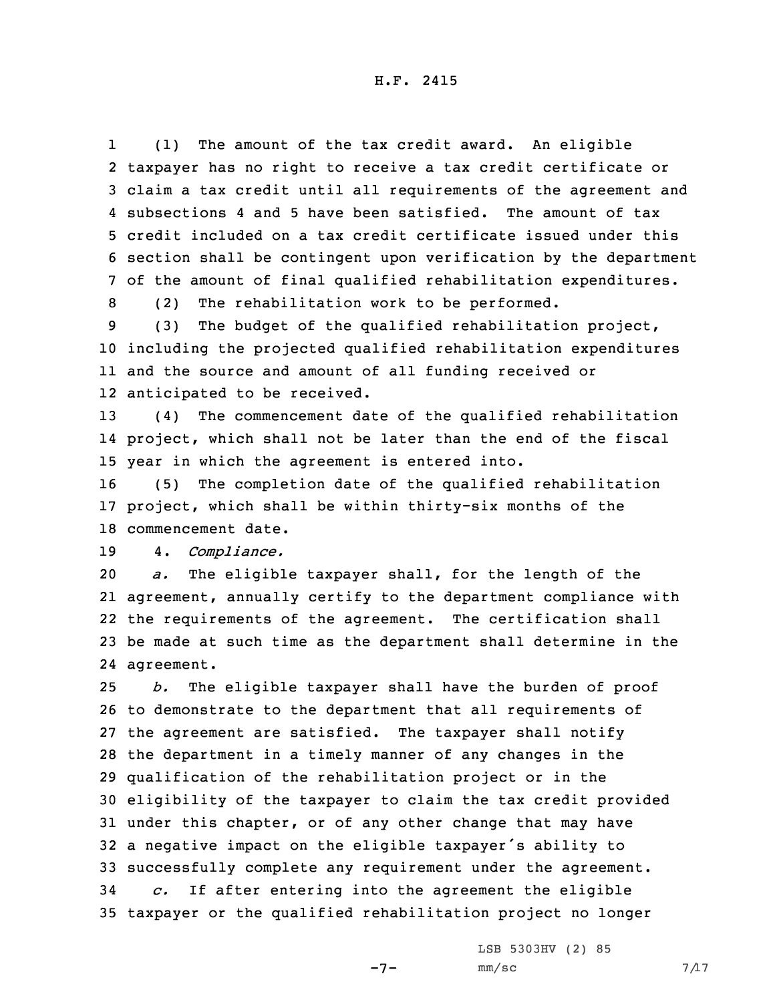1 (1) The amount of the tax credit award. An eligible taxpayer has no right to receive <sup>a</sup> tax credit certificate or claim <sup>a</sup> tax credit until all requirements of the agreement and subsections 4 and 5 have been satisfied. The amount of tax credit included on <sup>a</sup> tax credit certificate issued under this section shall be contingent upon verification by the department of the amount of final qualified rehabilitation expenditures.

8 (2) The rehabilitation work to be performed.

 (3) The budget of the qualified rehabilitation project, including the projected qualified rehabilitation expenditures and the source and amount of all funding received or anticipated to be received.

13 (4) The commencement date of the qualified rehabilitation 14 project, which shall not be later than the end of the fiscal 15 year in which the agreement is entered into.

16 (5) The completion date of the qualified rehabilitation 17 project, which shall be within thirty-six months of the 18 commencement date.

19 4. *Compliance.*

 *a.* The eligible taxpayer shall, for the length of the agreement, annually certify to the department compliance with the requirements of the agreement. The certification shall be made at such time as the department shall determine in the agreement.

 *b.* The eligible taxpayer shall have the burden of proof to demonstrate to the department that all requirements of the agreement are satisfied. The taxpayer shall notify the department in <sup>a</sup> timely manner of any changes in the qualification of the rehabilitation project or in the eligibility of the taxpayer to claim the tax credit provided under this chapter, or of any other change that may have <sup>a</sup> negative impact on the eligible taxpayer's ability to successfully complete any requirement under the agreement. *c.* If after entering into the agreement the eligible taxpayer or the qualified rehabilitation project no longer

LSB 5303HV (2) 85

 $-7-$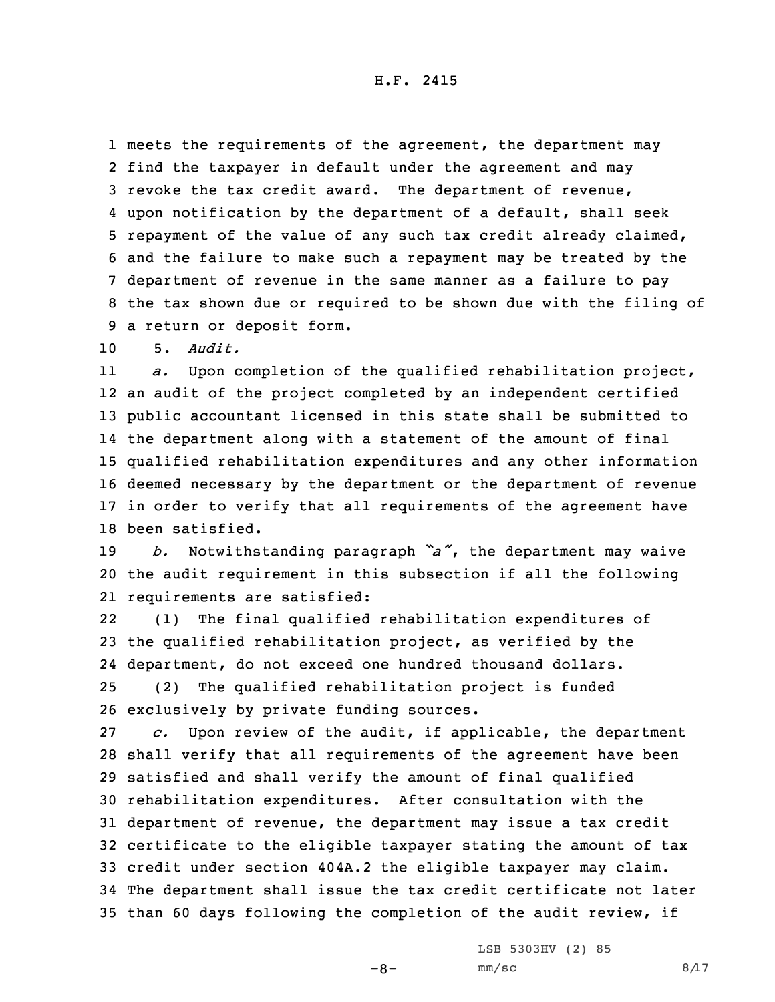H.F. 2415

 meets the requirements of the agreement, the department may find the taxpayer in default under the agreement and may revoke the tax credit award. The department of revenue, upon notification by the department of <sup>a</sup> default, shall seek repayment of the value of any such tax credit already claimed, and the failure to make such <sup>a</sup> repayment may be treated by the department of revenue in the same manner as <sup>a</sup> failure to pay the tax shown due or required to be shown due with the filing of <sup>a</sup> return or deposit form.

10 5. *Audit.*

11 *a.* Upon completion of the qualified rehabilitation project, an audit of the project completed by an independent certified public accountant licensed in this state shall be submitted to the department along with <sup>a</sup> statement of the amount of final qualified rehabilitation expenditures and any other information deemed necessary by the department or the department of revenue in order to verify that all requirements of the agreement have been satisfied.

<sup>19</sup> *b.* Notwithstanding paragraph *"a"*, the department may waive 20 the audit requirement in this subsection if all the following 21 requirements are satisfied:

22 (1) The final qualified rehabilitation expenditures of the qualified rehabilitation project, as verified by the department, do not exceed one hundred thousand dollars. (2) The qualified rehabilitation project is funded exclusively by private funding sources.

 *c.* Upon review of the audit, if applicable, the department shall verify that all requirements of the agreement have been satisfied and shall verify the amount of final qualified rehabilitation expenditures. After consultation with the department of revenue, the department may issue <sup>a</sup> tax credit certificate to the eligible taxpayer stating the amount of tax credit under section 404A.2 the eligible taxpayer may claim. The department shall issue the tax credit certificate not later than 60 days following the completion of the audit review, if

LSB 5303HV (2) 85

 $-8-$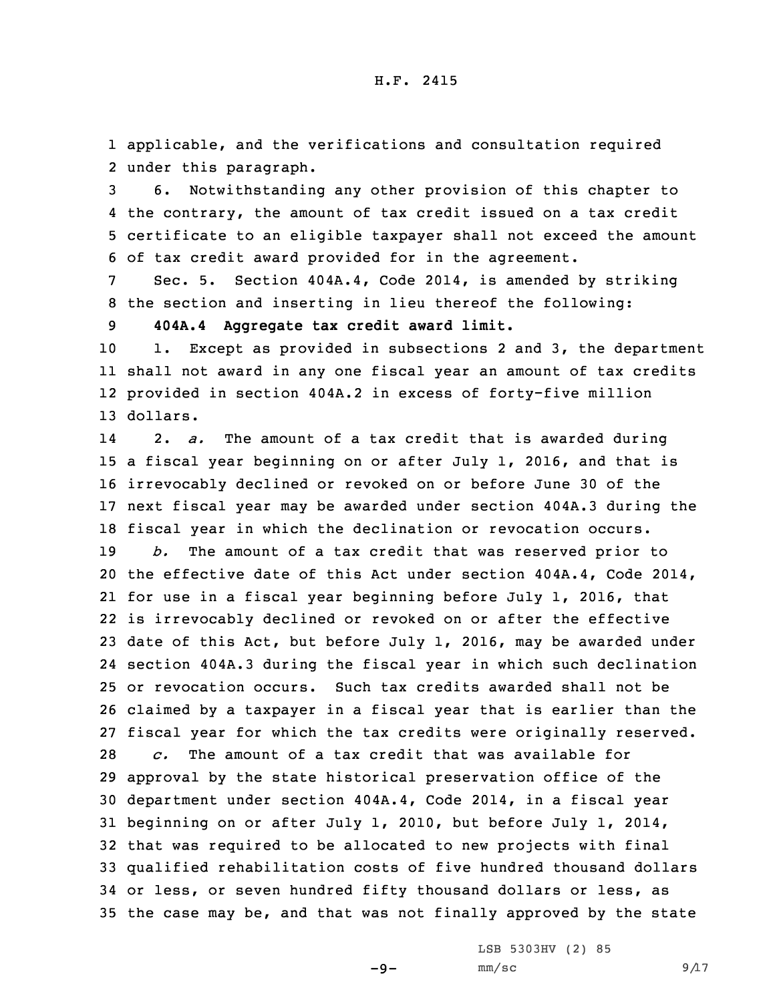1 applicable, and the verifications and consultation required 2 under this paragraph.

 6. Notwithstanding any other provision of this chapter to the contrary, the amount of tax credit issued on <sup>a</sup> tax credit certificate to an eligible taxpayer shall not exceed the amount of tax credit award provided for in the agreement.

7 Sec. 5. Section 404A.4, Code 2014, is amended by striking 8 the section and inserting in lieu thereof the following:

9 **404A.4 Aggregate tax credit award limit.**

 1. Except as provided in subsections 2 and 3, the department shall not award in any one fiscal year an amount of tax credits provided in section 404A.2 in excess of forty-five million 13 dollars.

14 2. *a.* The amount of <sup>a</sup> tax credit that is awarded during <sup>a</sup> fiscal year beginning on or after July 1, 2016, and that is irrevocably declined or revoked on or before June 30 of the next fiscal year may be awarded under section 404A.3 during the fiscal year in which the declination or revocation occurs. *b.* The amount of <sup>a</sup> tax credit that was reserved prior to the effective date of this Act under section 404A.4, Code 2014, for use in <sup>a</sup> fiscal year beginning before July 1, 2016, that is irrevocably declined or revoked on or after the effective date of this Act, but before July 1, 2016, may be awarded under section 404A.3 during the fiscal year in which such declination or revocation occurs. Such tax credits awarded shall not be claimed by <sup>a</sup> taxpayer in <sup>a</sup> fiscal year that is earlier than the fiscal year for which the tax credits were originally reserved. *c.* The amount of <sup>a</sup> tax credit that was available for approval by the state historical preservation office of the department under section 404A.4, Code 2014, in <sup>a</sup> fiscal year beginning on or after July 1, 2010, but before July 1, 2014, that was required to be allocated to new projects with final qualified rehabilitation costs of five hundred thousand dollars or less, or seven hundred fifty thousand dollars or less, as the case may be, and that was not finally approved by the state

LSB 5303HV (2) 85

 $-9-$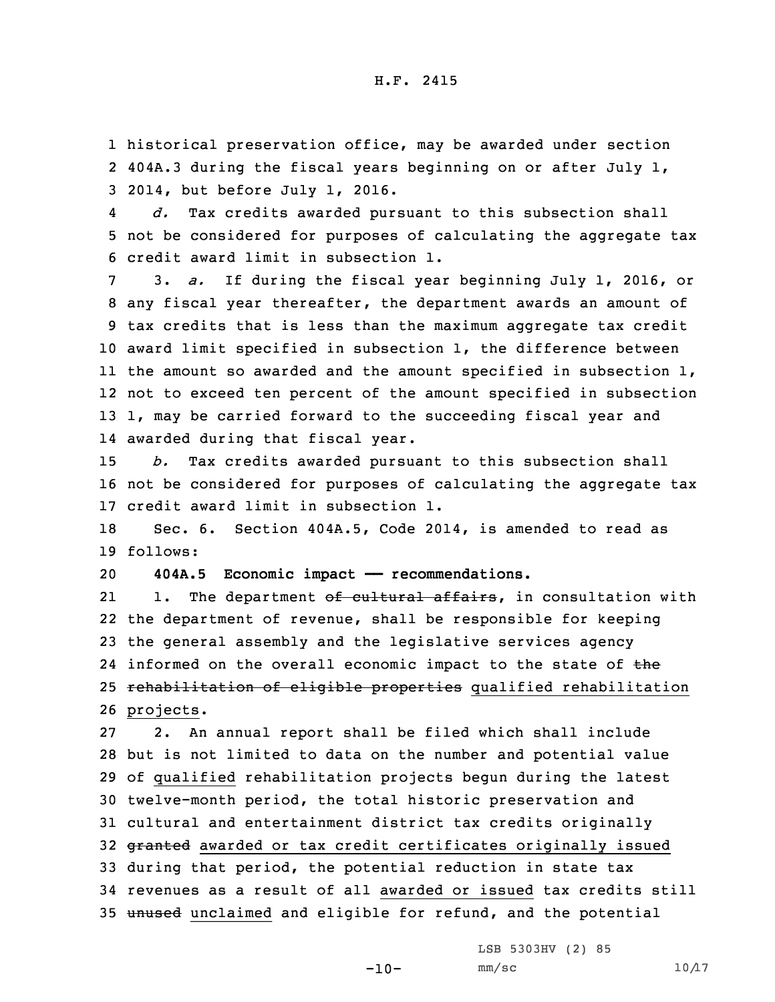1 historical preservation office, may be awarded under section 2 404A.3 during the fiscal years beginning on or after July 1, 3 2014, but before July 1, 2016.

4 *d.* Tax credits awarded pursuant to this subsection shall 5 not be considered for purposes of calculating the aggregate tax 6 credit award limit in subsection 1.

 3. *a.* If during the fiscal year beginning July 1, 2016, or any fiscal year thereafter, the department awards an amount of tax credits that is less than the maximum aggregate tax credit award limit specified in subsection 1, the difference between the amount so awarded and the amount specified in subsection 1, not to exceed ten percent of the amount specified in subsection 1, may be carried forward to the succeeding fiscal year and awarded during that fiscal year.

15 *b.* Tax credits awarded pursuant to this subsection shall 16 not be considered for purposes of calculating the aggregate tax 17 credit award limit in subsection 1.

18 Sec. 6. Section 404A.5, Code 2014, is amended to read as 19 follows:

20 **404A.5 Economic impact —— recommendations.**

211. The department of cultural affairs, in consultation with 22 the department of revenue, shall be responsible for keeping 23 the general assembly and the legislative services agency 24 informed on the overall economic impact to the state of the 25 rehabilitation of eligible properties qualified rehabilitation 26 projects.

 2. An annual report shall be filed which shall include but is not limited to data on the number and potential value of qualified rehabilitation projects begun during the latest twelve-month period, the total historic preservation and cultural and entertainment district tax credits originally 32 granted awarded or tax credit certificates originally issued during that period, the potential reduction in state tax revenues as <sup>a</sup> result of all awarded or issued tax credits still 35 unused unclaimed and eligible for refund, and the potential

LSB 5303HV (2) 85

 $-10-$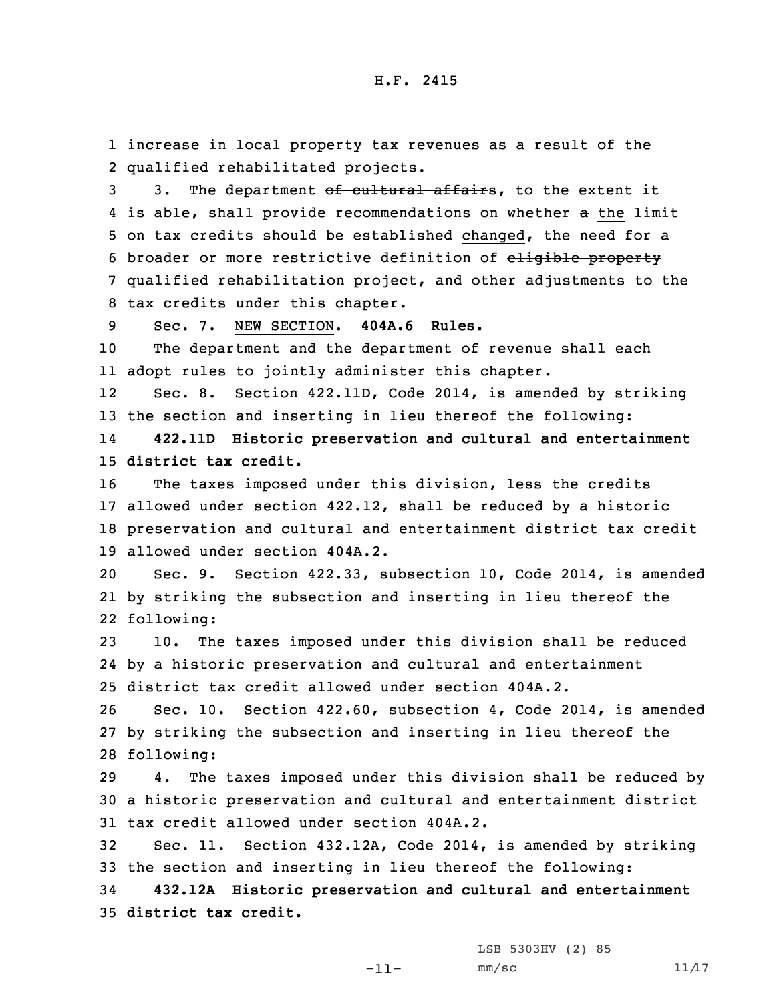1 increase in local property tax revenues as <sup>a</sup> result of the 2 qualified rehabilitated projects.

3 3. The department of cultural affairs, to the extent it 4 is able, shall provide recommendations on whether a the limit 5 on tax credits should be established changed, the need for a 6 broader or more restrictive definition of eligible property 7 qualified rehabilitation project, and other adjustments to the 8 tax credits under this chapter.

9 Sec. 7. NEW SECTION. **404A.6 Rules.**

10 The department and the department of revenue shall each 11 adopt rules to jointly administer this chapter.

12 Sec. 8. Section 422.11D, Code 2014, is amended by striking 13 the section and inserting in lieu thereof the following:

14 **422.11D Historic preservation and cultural and entertainment** 15 **district tax credit.**

 The taxes imposed under this division, less the credits allowed under section 422.12, shall be reduced by <sup>a</sup> historic preservation and cultural and entertainment district tax credit allowed under section 404A.2.

20 Sec. 9. Section 422.33, subsection 10, Code 2014, is amended 21 by striking the subsection and inserting in lieu thereof the 22 following:

23 10. The taxes imposed under this division shall be reduced 24 by <sup>a</sup> historic preservation and cultural and entertainment 25 district tax credit allowed under section 404A.2.

26 Sec. 10. Section 422.60, subsection 4, Code 2014, is amended 27 by striking the subsection and inserting in lieu thereof the 28 following:

29 4. The taxes imposed under this division shall be reduced by 30 <sup>a</sup> historic preservation and cultural and entertainment district 31 tax credit allowed under section 404A.2.

32 Sec. 11. Section 432.12A, Code 2014, is amended by striking 33 the section and inserting in lieu thereof the following:

34 **432.12A Historic preservation and cultural and entertainment** 35 **district tax credit.**

LSB 5303HV (2) 85

-11-

 $mm/sc$  11/17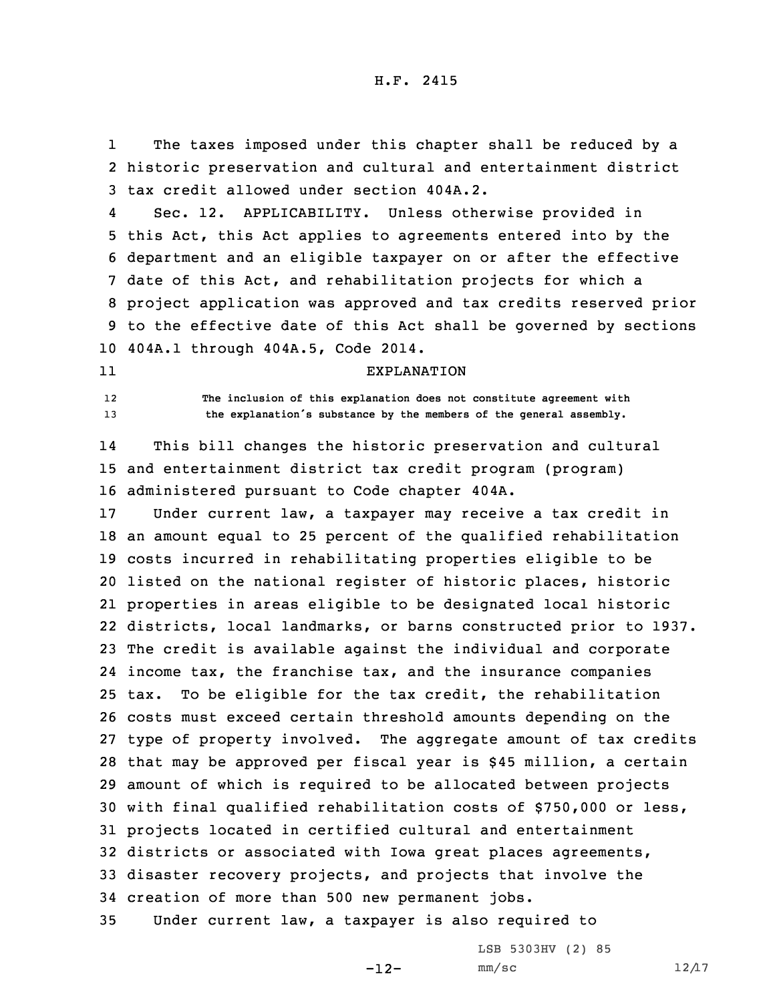1 The taxes imposed under this chapter shall be reduced by <sup>a</sup> 2 historic preservation and cultural and entertainment district 3 tax credit allowed under section 404A.2.

4 Sec. 12. APPLICABILITY. Unless otherwise provided in this Act, this Act applies to agreements entered into by the department and an eligible taxpayer on or after the effective date of this Act, and rehabilitation projects for which <sup>a</sup> project application was approved and tax credits reserved prior to the effective date of this Act shall be governed by sections 404A.1 through 404A.5, Code 2014.

11

## EXPLANATION

12 **The inclusion of this explanation does not constitute agreement with** <sup>13</sup> **the explanation's substance by the members of the general assembly.**

14 This bill changes the historic preservation and cultural 15 and entertainment district tax credit program (program) 16 administered pursuant to Code chapter 404A.

 Under current law, <sup>a</sup> taxpayer may receive <sup>a</sup> tax credit in an amount equal to 25 percent of the qualified rehabilitation costs incurred in rehabilitating properties eligible to be listed on the national register of historic places, historic properties in areas eligible to be designated local historic districts, local landmarks, or barns constructed prior to 1937. The credit is available against the individual and corporate income tax, the franchise tax, and the insurance companies tax. To be eligible for the tax credit, the rehabilitation costs must exceed certain threshold amounts depending on the type of property involved. The aggregate amount of tax credits that may be approved per fiscal year is \$45 million, <sup>a</sup> certain amount of which is required to be allocated between projects with final qualified rehabilitation costs of \$750,000 or less, projects located in certified cultural and entertainment districts or associated with Iowa great places agreements, disaster recovery projects, and projects that involve the creation of more than 500 new permanent jobs. Under current law, <sup>a</sup> taxpayer is also required to

 $-12-$ 

LSB 5303HV (2) 85  $mm/sc$  12/17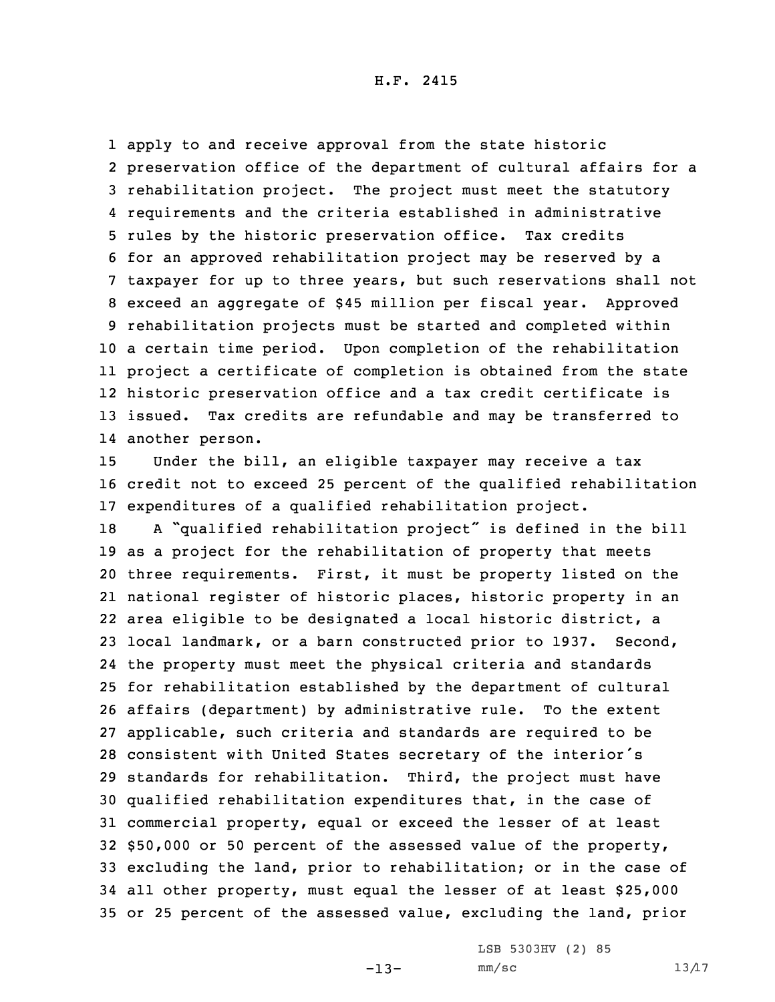apply to and receive approval from the state historic preservation office of the department of cultural affairs for <sup>a</sup> rehabilitation project. The project must meet the statutory requirements and the criteria established in administrative rules by the historic preservation office. Tax credits for an approved rehabilitation project may be reserved by <sup>a</sup> taxpayer for up to three years, but such reservations shall not exceed an aggregate of \$45 million per fiscal year. Approved rehabilitation projects must be started and completed within <sup>a</sup> certain time period. Upon completion of the rehabilitation project <sup>a</sup> certificate of completion is obtained from the state historic preservation office and <sup>a</sup> tax credit certificate is issued. Tax credits are refundable and may be transferred to another person.

15 Under the bill, an eligible taxpayer may receive <sup>a</sup> tax 16 credit not to exceed 25 percent of the qualified rehabilitation 17 expenditures of <sup>a</sup> qualified rehabilitation project.

 <sup>A</sup> "qualified rehabilitation project" is defined in the bill as <sup>a</sup> project for the rehabilitation of property that meets three requirements. First, it must be property listed on the national register of historic places, historic property in an area eligible to be designated <sup>a</sup> local historic district, <sup>a</sup> local landmark, or <sup>a</sup> barn constructed prior to 1937. Second, the property must meet the physical criteria and standards for rehabilitation established by the department of cultural affairs (department) by administrative rule. To the extent applicable, such criteria and standards are required to be consistent with United States secretary of the interior's standards for rehabilitation. Third, the project must have qualified rehabilitation expenditures that, in the case of commercial property, equal or exceed the lesser of at least \$50,000 or 50 percent of the assessed value of the property, excluding the land, prior to rehabilitation; or in the case of all other property, must equal the lesser of at least \$25,000 or 25 percent of the assessed value, excluding the land, prior

LSB 5303HV (2) 85

-13-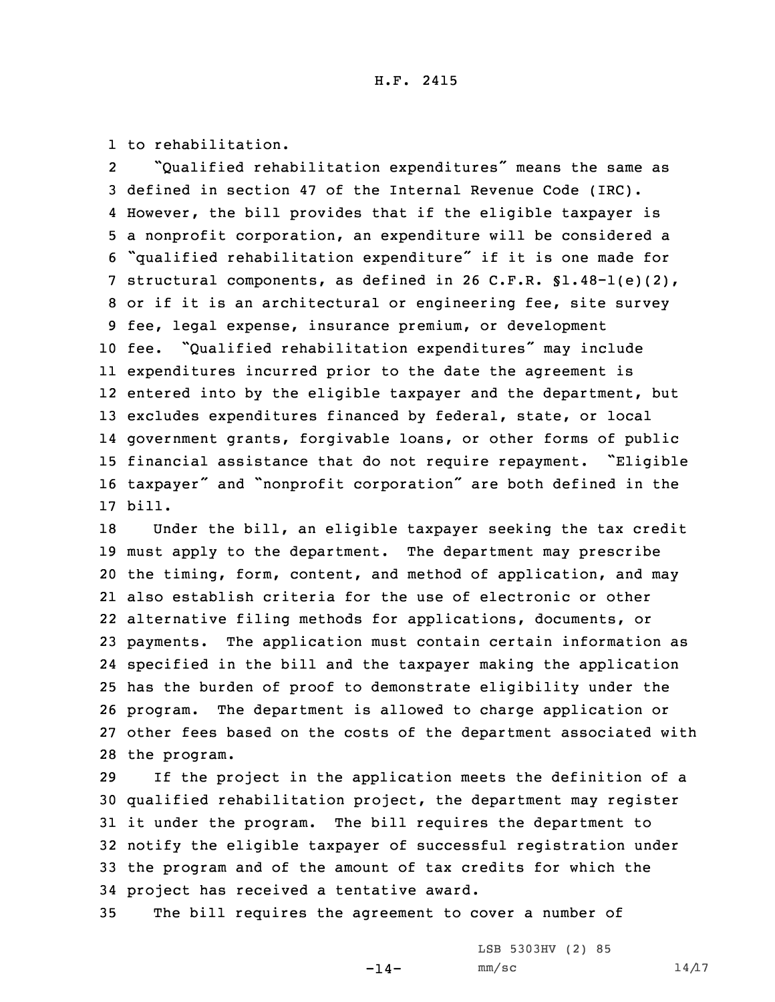1 to rehabilitation.

2 "Qualified rehabilitation expenditures" means the same as defined in section 47 of the Internal Revenue Code (IRC). However, the bill provides that if the eligible taxpayer is <sup>a</sup> nonprofit corporation, an expenditure will be considered <sup>a</sup> "qualified rehabilitation expenditure" if it is one made for structural components, as defined in 26 C.F.R. §1.48-1(e)(2), or if it is an architectural or engineering fee, site survey fee, legal expense, insurance premium, or development fee. "Qualified rehabilitation expenditures" may include expenditures incurred prior to the date the agreement is entered into by the eligible taxpayer and the department, but excludes expenditures financed by federal, state, or local government grants, forgivable loans, or other forms of public financial assistance that do not require repayment. "Eligible taxpayer" and "nonprofit corporation" are both defined in the 17 bill.

 Under the bill, an eligible taxpayer seeking the tax credit must apply to the department. The department may prescribe the timing, form, content, and method of application, and may also establish criteria for the use of electronic or other alternative filing methods for applications, documents, or payments. The application must contain certain information as specified in the bill and the taxpayer making the application has the burden of proof to demonstrate eligibility under the program. The department is allowed to charge application or other fees based on the costs of the department associated with the program.

 If the project in the application meets the definition of <sup>a</sup> qualified rehabilitation project, the department may register it under the program. The bill requires the department to notify the eligible taxpayer of successful registration under the program and of the amount of tax credits for which the project has received <sup>a</sup> tentative award.

35 The bill requires the agreement to cover <sup>a</sup> number of

 $-14-$ 

LSB 5303HV (2) 85  $mm/sc$  14/17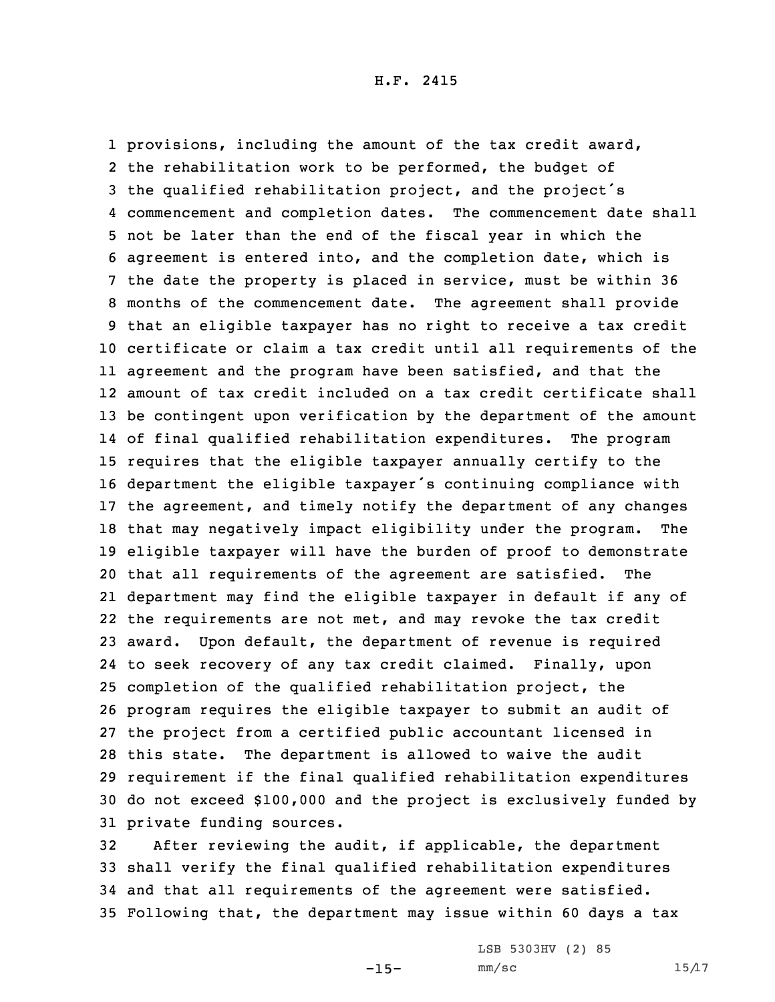provisions, including the amount of the tax credit award, the rehabilitation work to be performed, the budget of the qualified rehabilitation project, and the project's commencement and completion dates. The commencement date shall not be later than the end of the fiscal year in which the agreement is entered into, and the completion date, which is the date the property is placed in service, must be within 36 months of the commencement date. The agreement shall provide that an eligible taxpayer has no right to receive <sup>a</sup> tax credit certificate or claim <sup>a</sup> tax credit until all requirements of the agreement and the program have been satisfied, and that the amount of tax credit included on <sup>a</sup> tax credit certificate shall be contingent upon verification by the department of the amount of final qualified rehabilitation expenditures. The program requires that the eligible taxpayer annually certify to the department the eligible taxpayer's continuing compliance with the agreement, and timely notify the department of any changes that may negatively impact eligibility under the program. The eligible taxpayer will have the burden of proof to demonstrate that all requirements of the agreement are satisfied. The department may find the eligible taxpayer in default if any of the requirements are not met, and may revoke the tax credit award. Upon default, the department of revenue is required to seek recovery of any tax credit claimed. Finally, upon completion of the qualified rehabilitation project, the program requires the eligible taxpayer to submit an audit of the project from <sup>a</sup> certified public accountant licensed in this state. The department is allowed to waive the audit requirement if the final qualified rehabilitation expenditures do not exceed \$100,000 and the project is exclusively funded by private funding sources.

 After reviewing the audit, if applicable, the department shall verify the final qualified rehabilitation expenditures and that all requirements of the agreement were satisfied. Following that, the department may issue within 60 days <sup>a</sup> tax

 $-15-$ 

LSB 5303HV (2) 85  $mm/sc$  15/17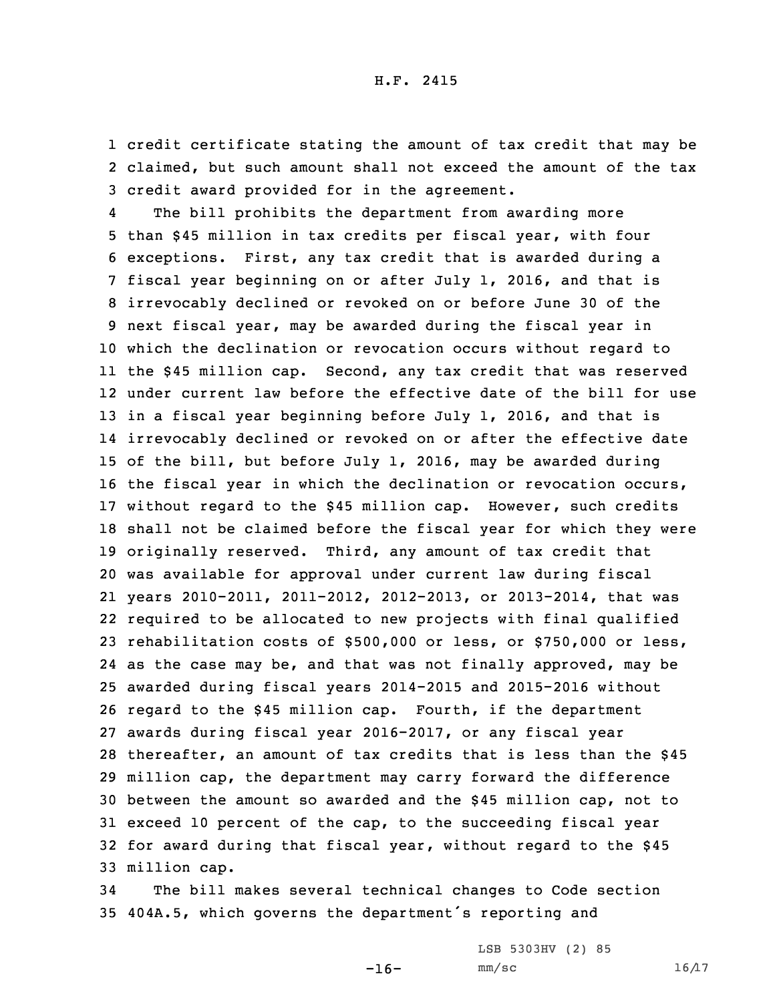1 credit certificate stating the amount of tax credit that may be 2 claimed, but such amount shall not exceed the amount of the tax 3 credit award provided for in the agreement.

4 The bill prohibits the department from awarding more than \$45 million in tax credits per fiscal year, with four exceptions. First, any tax credit that is awarded during <sup>a</sup> fiscal year beginning on or after July 1, 2016, and that is irrevocably declined or revoked on or before June 30 of the next fiscal year, may be awarded during the fiscal year in which the declination or revocation occurs without regard to the \$45 million cap. Second, any tax credit that was reserved under current law before the effective date of the bill for use 13 in a fiscal year beginning before July 1, 2016, and that is irrevocably declined or revoked on or after the effective date of the bill, but before July 1, 2016, may be awarded during the fiscal year in which the declination or revocation occurs, without regard to the \$45 million cap. However, such credits shall not be claimed before the fiscal year for which they were originally reserved. Third, any amount of tax credit that was available for approval under current law during fiscal years 2010-2011, 2011-2012, 2012-2013, or 2013-2014, that was required to be allocated to new projects with final qualified rehabilitation costs of \$500,000 or less, or \$750,000 or less, as the case may be, and that was not finally approved, may be awarded during fiscal years 2014-2015 and 2015-2016 without regard to the \$45 million cap. Fourth, if the department awards during fiscal year 2016-2017, or any fiscal year thereafter, an amount of tax credits that is less than the \$45 million cap, the department may carry forward the difference between the amount so awarded and the \$45 million cap, not to exceed 10 percent of the cap, to the succeeding fiscal year for award during that fiscal year, without regard to the \$45 million cap.

34 The bill makes several technical changes to Code section <sup>35</sup> 404A.5, which governs the department's reporting and

-16-

LSB 5303HV (2) 85  $mm/sc$  16/17